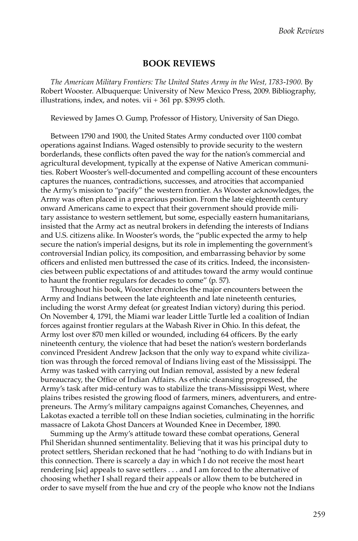## **BOOK REVIEWS**

*The American Military Frontiers: The United States Army in the West, 1783-1900.* By Robert Wooster. Albuquerque: University of New Mexico Press, 2009. Bibliography, illustrations, index, and notes. vii + 361 pp. \$39.95 cloth.

Reviewed by James O. Gump, Professor of History, University of San Diego.

Between 1790 and 1900, the United States Army conducted over 1100 combat operations against Indians. Waged ostensibly to provide security to the western borderlands, these conflicts often paved the way for the nation's commercial and agricultural development, typically at the expense of Native American communities. Robert Wooster's well-documented and compelling account of these encounters captures the nuances, contradictions, successes, and atrocities that accompanied the Army's mission to "pacify" the western frontier. As Wooster acknowledges, the Army was often placed in a precarious position. From the late eighteenth century onward Americans came to expect that their government should provide military assistance to western settlement, but some, especially eastern humanitarians, insisted that the Army act as neutral brokers in defending the interests of Indians and U.S. citizens alike. In Wooster's words, the "public expected the army to help secure the nation's imperial designs, but its role in implementing the government's controversial Indian policy, its composition, and embarrassing behavior by some officers and enlisted men buttressed the case of its critics. Indeed, the inconsistencies between public expectations of and attitudes toward the army would continue to haunt the frontier regulars for decades to come" (p. 57).

Throughout his book, Wooster chronicles the major encounters between the Army and Indians between the late eighteenth and late nineteenth centuries, including the worst Army defeat (or greatest Indian victory) during this period. On November 4, 1791, the Miami war leader Little Turtle led a coalition of Indian forces against frontier regulars at the Wabash River in Ohio. In this defeat, the Army lost over 870 men killed or wounded, including 64 officers. By the early nineteenth century, the violence that had beset the nation's western borderlands convinced President Andrew Jackson that the only way to expand white civilization was through the forced removal of Indians living east of the Mississippi. The Army was tasked with carrying out Indian removal, assisted by a new federal bureaucracy, the Office of Indian Affairs. As ethnic cleansing progressed, the Army's task after mid-century was to stabilize the trans-Mississippi West, where plains tribes resisted the growing flood of farmers, miners, adventurers, and entrepreneurs. The Army's military campaigns against Comanches, Cheyennes, and Lakotas exacted a terrible toll on these Indian societies, culminating in the horrific massacre of Lakota Ghost Dancers at Wounded Knee in December, 1890.

Summing up the Army's attitude toward these combat operations, General Phil Sheridan shunned sentimentality. Believing that it was his principal duty to protect settlers, Sheridan reckoned that he had "nothing to do with Indians but in this connection. There is scarcely a day in which I do not receive the most heart rendering [sic] appeals to save settlers . . . and I am forced to the alternative of choosing whether I shall regard their appeals or allow them to be butchered in order to save myself from the hue and cry of the people who know not the Indians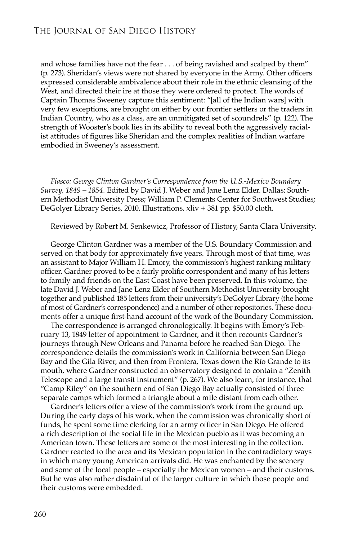and whose families have not the fear . . . of being ravished and scalped by them" (p. 273). Sheridan's views were not shared by everyone in the Army. Other officers expressed considerable ambivalence about their role in the ethnic cleansing of the West, and directed their ire at those they were ordered to protect. The words of Captain Thomas Sweeney capture this sentiment: "[all of the Indian wars] with very few exceptions, are brought on either by our frontier settlers or the traders in Indian Country, who as a class, are an unmitigated set of scoundrels" (p. 122). The strength of Wooster's book lies in its ability to reveal both the aggressively racialist attitudes of figures like Sheridan and the complex realities of Indian warfare embodied in Sweeney's assessment.

*Fiasco: George Clinton Gardner's Correspondence from the U.S.-Mexico Boundary Survey, 1849 – 1854.* Edited by David J. Weber and Jane Lenz Elder. Dallas: Southern Methodist University Press; William P. Clements Center for Southwest Studies; DeGolyer Library Series, 2010. Illustrations. xliv + 381 pp. \$50.00 cloth.

Reviewed by Robert M. Senkewicz, Professor of History, Santa Clara University.

George Clinton Gardner was a member of the U.S. Boundary Commission and served on that body for approximately five years. Through most of that time, was an assistant to Major William H. Emory, the commission's highest ranking military officer. Gardner proved to be a fairly prolific correspondent and many of his letters to family and friends on the East Coast have been preserved. In this volume, the late David J. Weber and Jane Lenz Elder of Southern Methodist University brought together and published 185 letters from their university's DeGolyer Library (the home of most of Gardner's correspondence) and a number of other repositories. These documents offer a unique first-hand account of the work of the Boundary Commission.

The correspondence is arranged chronologically. It begins with Emory's February 13, 1849 letter of appointment to Gardner, and it then recounts Gardner's journeys through New Orleans and Panama before he reached San Diego. The correspondence details the commission's work in California between San Diego Bay and the Gila River, and then from Frontera, Texas down the Río Grande to its mouth, where Gardner constructed an observatory designed to contain a "Zenith Telescope and a large transit instrument" (p. 267). We also learn, for instance, that "Camp Riley" on the southern end of San Diego Bay actually consisted of three separate camps which formed a triangle about a mile distant from each other.

Gardner's letters offer a view of the commission's work from the ground up. During the early days of his work, when the commission was chronically short of funds, he spent some time clerking for an army officer in San Diego. He offered a rich description of the social life in the Mexican pueblo as it was becoming an American town. These letters are some of the most interesting in the collection. Gardner reacted to the area and its Mexican population in the contradictory ways in which many young American arrivals did. He was enchanted by the scenery and some of the local people – especially the Mexican women – and their customs. But he was also rather disdainful of the larger culture in which those people and their customs were embedded.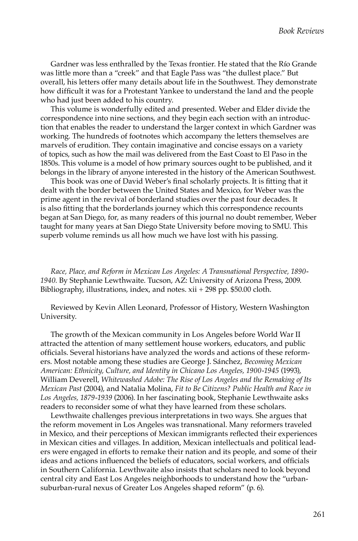Gardner was less enthralled by the Texas frontier. He stated that the Río Grande was little more than a "creek" and that Eagle Pass was "the dullest place." But overall, his letters offer many details about life in the Southwest. They demonstrate how difficult it was for a Protestant Yankee to understand the land and the people who had just been added to his country.

This volume is wonderfully edited and presented. Weber and Elder divide the correspondence into nine sections, and they begin each section with an introduction that enables the reader to understand the larger context in which Gardner was working. The hundreds of footnotes which accompany the letters themselves are marvels of erudition. They contain imaginative and concise essays on a variety of topics, such as how the mail was delivered from the East Coast to El Paso in the 1850s. This volume is a model of how primary sources ought to be published, and it belongs in the library of anyone interested in the history of the American Southwest.

This book was one of David Weber's final scholarly projects. It is fitting that it dealt with the border between the United States and Mexico, for Weber was the prime agent in the revival of borderland studies over the past four decades. It is also fitting that the borderlands journey which this correspondence recounts began at San Diego, for, as many readers of this journal no doubt remember, Weber taught for many years at San Diego State University before moving to SMU. This superb volume reminds us all how much we have lost with his passing.

*Race, Place, and Reform in Mexican Los Angeles: A Transnational Perspective, 1890- 1940.* By Stephanie Lewthwaite. Tucson, AZ: University of Arizona Press, 2009. Bibliography, illustrations, index, and notes. xii + 298 pp. \$50.00 cloth.

Reviewed by Kevin Allen Leonard, Professor of History, Western Washington University.

The growth of the Mexican community in Los Angeles before World War II attracted the attention of many settlement house workers, educators, and public officials. Several historians have analyzed the words and actions of these reformers. Most notable among these studies are George J. Sánchez, *Becoming Mexican American: Ethnicity, Culture, and Identity in Chicano Los Angeles, 1900-1945* (1993), William Deverell, *Whitewashed Adobe: The Rise of Los Angeles and the Remaking of Its Mexican Past* (2004), and Natalia Molina, *Fit to Be Citizens? Public Health and Race in Los Angeles, 1879-1939* (2006). In her fascinating book, Stephanie Lewthwaite asks readers to reconsider some of what they have learned from these scholars.

Lewthwaite challenges previous interpretations in two ways. She argues that the reform movement in Los Angeles was transnational. Many reformers traveled in Mexico, and their perceptions of Mexican immigrants reflected their experiences in Mexican cities and villages. In addition, Mexican intellectuals and political leaders were engaged in efforts to remake their nation and its people, and some of their ideas and actions influenced the beliefs of educators, social workers, and officials in Southern California. Lewthwaite also insists that scholars need to look beyond central city and East Los Angeles neighborhoods to understand how the "urbansuburban-rural nexus of Greater Los Angeles shaped reform" (p. 6).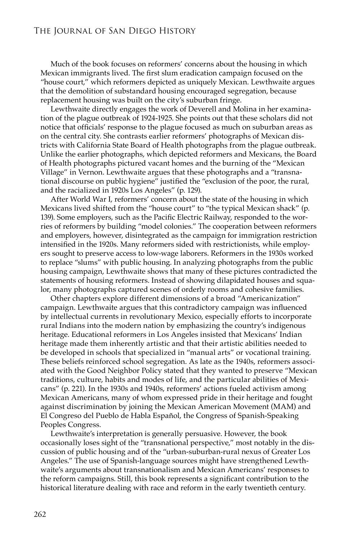## The Journal of San Diego History

Much of the book focuses on reformers' concerns about the housing in which Mexican immigrants lived. The first slum eradication campaign focused on the "house court," which reformers depicted as uniquely Mexican. Lewthwaite argues that the demolition of substandard housing encouraged segregation, because replacement housing was built on the city's suburban fringe.

Lewthwaite directly engages the work of Deverell and Molina in her examination of the plague outbreak of 1924-1925. She points out that these scholars did not notice that officials' response to the plague focused as much on suburban areas as on the central city. She contrasts earlier reformers' photographs of Mexican districts with California State Board of Health photographs from the plague outbreak. Unlike the earlier photographs, which depicted reformers and Mexicans, the Board of Health photographs pictured vacant homes and the burning of the "Mexican Village" in Vernon. Lewthwaite argues that these photographs and a "transnational discourse on public hygiene" justified the "exclusion of the poor, the rural, and the racialized in 1920s Los Angeles" (p. 129).

After World War I, reformers' concern about the state of the housing in which Mexicans lived shifted from the "house court" to "the typical Mexican shack" (p. 139). Some employers, such as the Pacific Electric Railway, responded to the worries of reformers by building "model colonies." The cooperation between reformers and employers, however, disintegrated as the campaign for immigration restriction intensified in the 1920s. Many reformers sided with restrictionists, while employers sought to preserve access to low-wage laborers. Reformers in the 1930s worked to replace "slums" with public housing. In analyzing photographs from the public housing campaign, Lewthwaite shows that many of these pictures contradicted the statements of housing reformers. Instead of showing dilapidated houses and squalor, many photographs captured scenes of orderly rooms and cohesive families.

Other chapters explore different dimensions of a broad "Americanization" campaign. Lewthwaite argues that this contradictory campaign was influenced by intellectual currents in revolutionary Mexico, especially efforts to incorporate rural Indians into the modern nation by emphasizing the country's indigenous heritage. Educational reformers in Los Angeles insisted that Mexicans' Indian heritage made them inherently artistic and that their artistic abilities needed to be developed in schools that specialized in "manual arts" or vocational training. These beliefs reinforced school segregation. As late as the 1940s, reformers associated with the Good Neighbor Policy stated that they wanted to preserve "Mexican traditions, culture, habits and modes of life, and the particular abilities of Mexicans" (p. 221). In the 1930s and 1940s, reformers' actions fueled activism among Mexican Americans, many of whom expressed pride in their heritage and fought against discrimination by joining the Mexican American Movement (MAM) and El Congreso del Pueblo de Habla Español, the Congress of Spanish-Speaking Peoples Congress.

Lewthwaite's interpretation is generally persuasive. However, the book occasionally loses sight of the "transnational perspective," most notably in the discussion of public housing and of the "urban-suburban-rural nexus of Greater Los Angeles." The use of Spanish-language sources might have strengthened Lewthwaite's arguments about transnationalism and Mexican Americans' responses to the reform campaigns. Still, this book represents a significant contribution to the historical literature dealing with race and reform in the early twentieth century.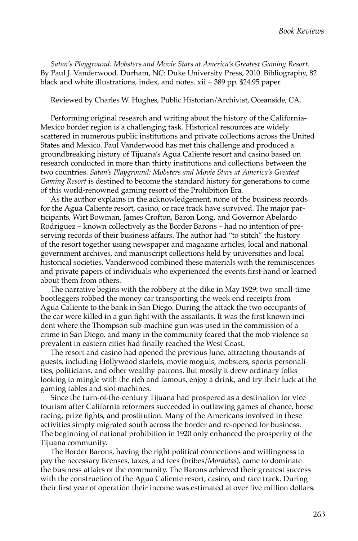*Satan's Playground: Mobsters and Movie Stars at America's Greatest Gaming Resort.*  By Paul J. Vanderwood. Durham, NC: Duke University Press, 2010. Bibliography, 82 black and white illustrations, index, and notes. xii + 389 pp. \$24.95 paper.

Reviewed by Charles W. Hughes, Public Historian/Archivist, Oceanside, CA.

Performing original research and writing about the history of the California-Mexico border region is a challenging task. Historical resources are widely scattered in numerous public institutions and private collections across the United States and Mexico. Paul Vanderwood has met this challenge and produced a groundbreaking history of Tijuana's Agua Caliente resort and casino based on research conducted in more than thirty institutions and collections between the two countries. *Satan's Playground: Mobsters and Movie Stars at America's Greatest Gaming Resort* is destined to become the standard history for generations to come of this world-renowned gaming resort of the Prohibition Era.

As the author explains in the acknowledgement, none of the business records for the Agua Caliente resort, casino, or race track have survived. The major participants, Wirt Bowman, James Crofton, Baron Long, and Governor Abelardo Rodriguez – known collectively as the Border Barons – had no intention of preserving records of their business affairs. The author had "to stitch" the history of the resort together using newspaper and magazine articles, local and national government archives, and manuscript collections held by universities and local historical societies. Vanderwood combined these materials with the reminiscences and private papers of individuals who experienced the events first-hand or learned about them from others.

The narrative begins with the robbery at the dike in May 1929: two small-time bootleggers robbed the money car transporting the week-end receipts from Agua Caliente to the bank in San Diego. During the attack the two occupants of the car were killed in a gun fight with the assailants. It was the first known incident where the Thompson sub-machine gun was used in the commission of a crime in San Diego, and many in the community feared that the mob violence so prevalent in eastern cities had finally reached the West Coast.

The resort and casino had opened the previous June, attracting thousands of guests, including Hollywood starlets, movie moguls, mobsters, sports personalities, politicians, and other wealthy patrons. But mostly it drew ordinary folks looking to mingle with the rich and famous, enjoy a drink, and try their luck at the gaming tables and slot machines.

Since the turn-of-the-century Tijuana had prospered as a destination for vice tourism after California reformers succeeded in outlawing games of chance, horse racing, prize fights, and prostitution. Many of the Americans involved in these activities simply migrated south across the border and re-opened for business. The beginning of national prohibition in 1920 only enhanced the prosperity of the Tijuana community.

The Border Barons, having the right political connections and willingness to pay the necessary licenses, taxes, and fees (bribes/*Mordidas*), came to dominate the business affairs of the community. The Barons achieved their greatest success with the construction of the Agua Caliente resort, casino, and race track. During their first year of operation their income was estimated at over five million dollars.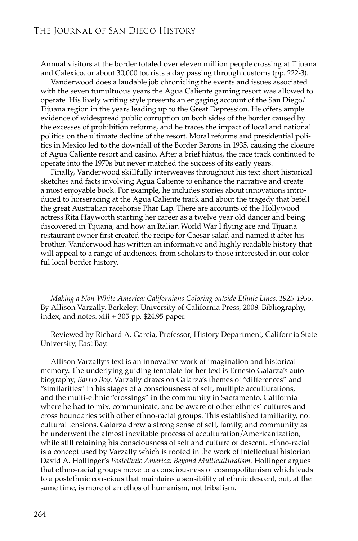Annual visitors at the border totaled over eleven million people crossing at Tijuana and Calexico, or about 30,000 tourists a day passing through customs (pp. 222-3).

Vanderwood does a laudable job chronicling the events and issues associated with the seven tumultuous years the Agua Caliente gaming resort was allowed to operate. His lively writing style presents an engaging account of the San Diego/ Tijuana region in the years leading up to the Great Depression. He offers ample evidence of widespread public corruption on both sides of the border caused by the excesses of prohibition reforms, and he traces the impact of local and national politics on the ultimate decline of the resort. Moral reforms and presidential politics in Mexico led to the downfall of the Border Barons in 1935, causing the closure of Agua Caliente resort and casino. After a brief hiatus, the race track continued to operate into the 1970s but never matched the success of its early years.

Finally, Vanderwood skillfully interweaves throughout his text short historical sketches and facts involving Agua Caliente to enhance the narrative and create a most enjoyable book. For example, he includes stories about innovations introduced to horseracing at the Agua Caliente track and about the tragedy that befell the great Australian racehorse Phar Lap. There are accounts of the Hollywood actress Rita Hayworth starting her career as a twelve year old dancer and being discovered in Tijuana, and how an Italian World War I flying ace and Tijuana restaurant owner first created the recipe for Caesar salad and named it after his brother. Vanderwood has written an informative and highly readable history that will appeal to a range of audiences, from scholars to those interested in our colorful local border history.

*Making a Non-White America: Californians Coloring outside Ethnic Lines, 1925-1955*. By Allison Varzally. Berkeley: University of California Press, 2008. Bibliography, index, and notes. xiii + 305 pp. \$24.95 paper.

Reviewed by Richard A. Garcia, Professor, History Department, California State University, East Bay.

Allison Varzally's text is an innovative work of imagination and historical memory. The underlying guiding template for her text is Ernesto Galarza's autobiography, *Barrio Boy*. Varzally draws on Galarza's themes of "differences" and "similarities" in his stages of a consciousness of self, multiple acculturations, and the multi-ethnic "crossings" in the community in Sacramento, California where he had to mix, communicate, and be aware of other ethnics' cultures and cross boundaries with other ethno-racial groups. This established familiarity, not cultural tensions. Galarza drew a strong sense of self, family, and community as he underwent the almost inevitable process of acculturation/Americanization, while still retaining his consciousness of self and culture of descent. Ethno-racial is a concept used by Varzally which is rooted in the work of intellectual historian David A. Hollinger's *Postethnic America: Beyond Multiculturalism.* Hollinger argues that ethno-racial groups move to a consciousness of cosmopolitanism which leads to a postethnic conscious that maintains a sensibility of ethnic descent, but, at the same time, is more of an ethos of humanism, not tribalism.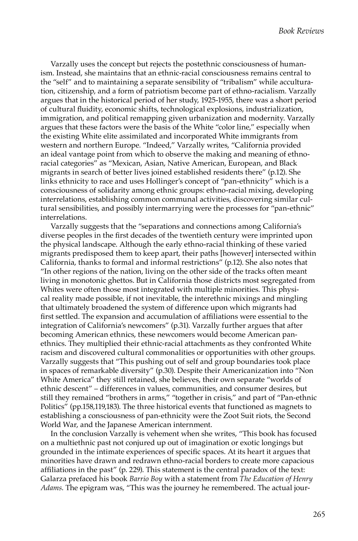Varzally uses the concept but rejects the postethnic consciousness of humanism. Instead, she maintains that an ethnic-racial consciousness remains central to the "self" and to maintaining a separate sensibility of "tribalism" while acculturation, citizenship, and a form of patriotism become part of ethno-racialism. Varzally argues that in the historical period of her study, 1925-1955, there was a short period of cultural fluidity, economic shifts, technological explosions, industrialization, immigration, and political remapping given urbanization and modernity. Varzally argues that these factors were the basis of the White "color line," especially when the existing White elite assimilated and incorporated White immigrants from western and northern Europe. "Indeed," Varzally writes, "California provided an ideal vantage point from which to observe the making and meaning of ethnoracial categories" as "Mexican, Asian, Native American, European, and Black migrants in search of better lives joined established residents there" (p.12). She links ethnicity to race and uses Hollinger's concept of "pan-ethnicity" which is a consciousness of solidarity among ethnic groups: ethno-racial mixing, developing interrelations, establishing common communal activities, discovering similar cultural sensibilities, and possibly intermarrying were the processes for "pan-ethnic" interrelations.

Varzally suggests that the "separations and connections among California's diverse peoples in the first decades of the twentieth century were imprinted upon the physical landscape. Although the early ethno-racial thinking of these varied migrants predisposed them to keep apart, their paths [however] intersected within California, thanks to formal and informal restrictions" (p.12). She also notes that "In other regions of the nation, living on the other side of the tracks often meant living in monotonic ghettos. But in California those districts most segregated from Whites were often those most integrated with multiple minorities. This physical reality made possible, if not inevitable, the interethnic mixings and mingling that ultimately broadened the system of difference upon which migrants had first settled. The expansion and accumulation of affiliations were essential to the integration of California's newcomers" (p.31). Varzally further argues that after becoming American ethnics, these newcomers would become American panethnics. They multiplied their ethnic-racial attachments as they confronted White racism and discovered cultural commonalities or opportunities with other groups. Varzally suggests that "This pushing out of self and group boundaries took place in spaces of remarkable diversity" (p.30). Despite their Americanization into "Non White America" they still retained, she believes, their own separate "worlds of ethnic descent" – differences in values, communities, and consumer desires, but still they remained "brothers in arms," "together in crisis," and part of "Pan-ethnic Politics" (pp.158,119,183). The three historical events that functioned as magnets to establishing a consciousness of pan-ethnicity were the Zoot Suit riots, the Second World War, and the Japanese American internment.

In the conclusion Varzally is vehement when she writes, "This book has focused on a multiethnic past not conjured up out of imagination or exotic longings but grounded in the intimate experiences of specific spaces. At its heart it argues that minorities have drawn and redrawn ethno-racial borders to create more capacious affiliations in the past" (p. 229). This statement is the central paradox of the text: Galarza prefaced his book *Barrio Boy* with a statement from *The Education of Henry Adams*. The epigram was, "This was the journey he remembered. The actual jour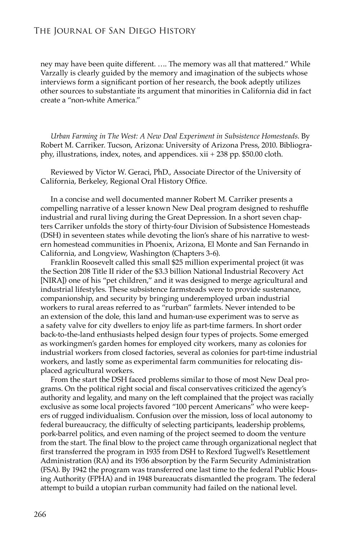ney may have been quite different. …. The memory was all that mattered." While Varzally is clearly guided by the memory and imagination of the subjects whose interviews form a significant portion of her research, the book adeptly utilizes other sources to substantiate its argument that minorities in California did in fact create a "non-white America."

*Urban Farming in The West: A New Deal Experiment in Subsistence Homesteads*. By Robert M. Carriker. Tucson, Arizona: University of Arizona Press, 2010. Bibliography, illustrations, index, notes, and appendices. xii + 238 pp. \$50.00 cloth.

Reviewed by Victor W. Geraci, PhD., Associate Director of the University of California, Berkeley, Regional Oral History Office.

In a concise and well documented manner Robert M. Carriker presents a compelling narrative of a lesser known New Deal program designed to reshuffle industrial and rural living during the Great Depression. In a short seven chapters Carriker unfolds the story of thirty-four Division of Subsistence Homesteads (DSH) in seventeen states while devoting the lion's share of his narrative to western homestead communities in Phoenix, Arizona, El Monte and San Fernando in California, and Longview, Washington (Chapters 3-6).

Franklin Roosevelt called this small \$25 million experimental project (it was the Section 208 Title II rider of the \$3.3 billion National Industrial Recovery Act [NIRA]) one of his "pet children," and it was designed to merge agricultural and industrial lifestyles. These subsistence farmsteads were to provide sustenance, companionship, and security by bringing underemployed urban industrial workers to rural areas referred to as "rurban" farmlets. Never intended to be an extension of the dole, this land and human-use experiment was to serve as a safety valve for city dwellers to enjoy life as part-time farmers. In short order back-to-the-land enthusiasts helped design four types of projects. Some emerged as workingmen's garden homes for employed city workers, many as colonies for industrial workers from closed factories, several as colonies for part-time industrial workers, and lastly some as experimental farm communities for relocating displaced agricultural workers.

From the start the DSH faced problems similar to those of most New Deal programs. On the political right social and fiscal conservatives criticized the agency's authority and legality, and many on the left complained that the project was racially exclusive as some local projects favored "100 percent Americans" who were keepers of rugged individualism. Confusion over the mission, loss of local autonomy to federal bureaucracy, the difficulty of selecting participants, leadership problems, pork-barrel politics, and even naming of the project seemed to doom the venture from the start. The final blow to the project came through organizational neglect that first transferred the program in 1935 from DSH to Rexford Tugwell's Resettlement Administration (RA) and its 1936 absorption by the Farm Security Administration (FSA). By 1942 the program was transferred one last time to the federal Public Housing Authority (FPHA) and in 1948 bureaucrats dismantled the program. The federal attempt to build a utopian rurban community had failed on the national level.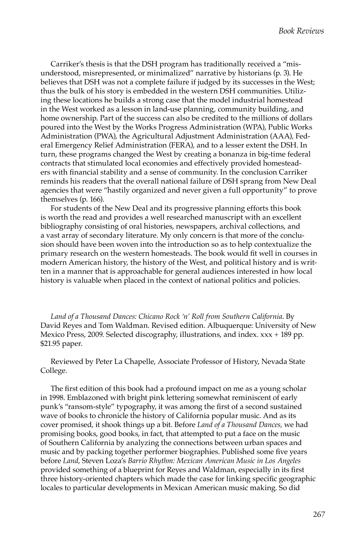Carriker's thesis is that the DSH program has traditionally received a "misunderstood, misrepresented, or minimalized" narrative by historians (p. 3). He believes that DSH was not a complete failure if judged by its successes in the West; thus the bulk of his story is embedded in the western DSH communities. Utilizing these locations he builds a strong case that the model industrial homestead in the West worked as a lesson in land-use planning, community building, and home ownership. Part of the success can also be credited to the millions of dollars poured into the West by the Works Progress Administration (WPA), Public Works Administration (PWA), the Agricultural Adjustment Administration (AAA), Federal Emergency Relief Administration (FERA), and to a lesser extent the DSH. In turn, these programs changed the West by creating a bonanza in big-time federal contracts that stimulated local economies and effectively provided homesteaders with financial stability and a sense of community. In the conclusion Carriker reminds his readers that the overall national failure of DSH sprang from New Deal agencies that were "hastily organized and never given a full opportunity" to prove themselves (p. 166).

For students of the New Deal and its progressive planning efforts this book is worth the read and provides a well researched manuscript with an excellent bibliography consisting of oral histories, newspapers, archival collections, and a vast array of secondary literature. My only concern is that more of the conclusion should have been woven into the introduction so as to help contextualize the primary research on the western homesteads. The book would fit well in courses in modern American history, the history of the West, and political history and is written in a manner that is approachable for general audiences interested in how local history is valuable when placed in the context of national politics and policies.

*Land of a Thousand Dances: Chicano Rock 'n' Roll from Southern California*. By David Reyes and Tom Waldman. Revised edition. Albuquerque: University of New Mexico Press, 2009. Selected discography, illustrations, and index. xxx + 189 pp. \$21.95 paper.

Reviewed by Peter La Chapelle, Associate Professor of History, Nevada State College.

The first edition of this book had a profound impact on me as a young scholar in 1998. Emblazoned with bright pink lettering somewhat reminiscent of early punk's "ransom-style" typography, it was among the first of a second sustained wave of books to chronicle the history of California popular music. And as its cover promised, it shook things up a bit. Before *Land of a Thousand Dances,* we had promising books, good books, in fact, that attempted to put a face on the music of Southern California by analyzing the connections between urban spaces and music and by packing together performer biographies. Published some five years before *Land*, Steven Loza's *Barrio Rhythm: Mexican American Music in Los Angeles* provided something of a blueprint for Reyes and Waldman, especially in its first three history-oriented chapters which made the case for linking specific geographic locales to particular developments in Mexican American music making. So did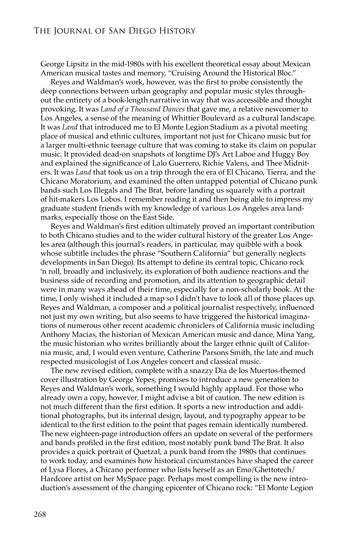George Lipsitz in the mid-1980s with his excellent theoretical essay about Mexican American musical tastes and memory, "Cruising Around the Historical Bloc."

Reyes and Waldman's work, however, was the first to probe consistently the deep connections between urban geography and popular music styles throughout the entirety of a book-length narrative in way that was accessible and thought provoking. It was *Land of a Thousand Dances* that gave me, a relative newcomer to Los Angeles, a sense of the meaning of Whittier Boulevard as a cultural landscape. It was *Land* that introduced me to El Monte Legion Stadium as a pivotal meeting place of musical and ethnic cultures, important not just for Chicano music but for a larger multi-ethnic teenage culture that was coming to stake its claim on popular music. It provided dead-on snapshots of longtime DJ's Art Laboe and Huggy Boy and explained the significance of Lalo Guerrero, Richie Valens, and Thee Midniters. It was *Land* that took us on a trip through the era of El Chicano, Tierra, and the Chicano Moratorium, and examined the often untapped potential of Chicano punk bands such Los Illegals and The Brat, before landing us squarely with a portrait of hit-makers Los Lobos. I remember reading it and then being able to impress my graduate student friends with my knowledge of various Los Angeles area landmarks, especially those on the East Side.

Reyes and Waldman's first edition ultimately proved an important contribution to both Chicano studies and to the wider cultural history of the greater Los Angeles area (although this journal's readers, in particular, may quibble with a book whose subtitle includes the phrase "Southern California" but generally neglects developments in San Diego). Its attempt to define its central topic, Chicano rock 'n roll, broadly and inclusively, its exploration of both audience reactions and the business side of recording and promotion, and its attention to geographic detail were in many ways ahead of their time, especially for a non-scholarly book. At the time, I only wished it included a map so I didn't have to look all of those places up. Reyes and Waldman, a composer and a political journalist respectively, influenced not just my own writing, but also seems to have triggered the historical imaginations of numerous other recent academic chroniclers of California music including Anthony Macias, the historian of Mexican American music and dance, Mina Yang, the music historian who writes brilliantly about the larger ethnic quilt of California music, and, I would even venture, Catherine Parsons Smith, the late and much respected musicologist of Los Angeles concert and classical music.

The new revised edition, complete with a snazzy Dia de los Muertos-themed cover illustration by George Yepes, promises to introduce a new generation to Reyes and Waldman's work, something I would highly applaud. For those who already own a copy, however, I might advise a bit of caution. The new edition is not much different than the first edition. It sports a new introduction and additional photographs, but its internal design, layout, and typography appear to be identical to the first edition to the point that pages remain identically numbered. The new eighteen-page introduction offers an update on several of the performers and bands profiled in the first edition, most notably punk band The Brat. It also provides a quick portrait of Quetzal, a punk band from the 1980s that continues to work today, and examines how historical circumstances have shaped the career of Lysa Flores, a Chicano performer who lists herself as an Emo/Ghettotech/ Hardcore artist on her MySpace page. Perhaps most compelling is the new introduction's assessment of the changing epicenter of Chicano rock: "El Monte Legion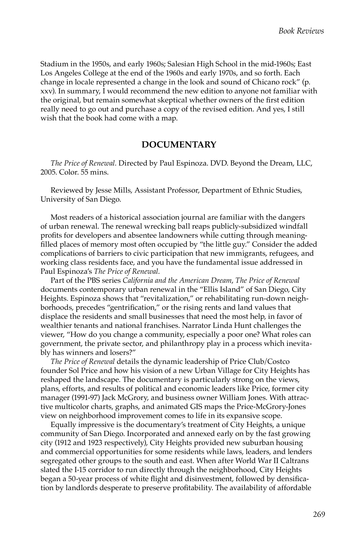Stadium in the 1950s, and early 1960s; Salesian High School in the mid-1960s; East Los Angeles College at the end of the 1960s and early 1970s, and so forth. Each change in locale represented a change in the look and sound of Chicano rock" (p. xxv). In summary, I would recommend the new edition to anyone not familiar with the original, but remain somewhat skeptical whether owners of the first edition really need to go out and purchase a copy of the revised edition. And yes, I still wish that the book had come with a map.

## **DOCUMENTARY**

*The Price of Renewal.* Directed by Paul Espinoza. DVD. Beyond the Dream, LLC, 2005. Color. 55 mins.

Reviewed by Jesse Mills, Assistant Professor, Department of Ethnic Studies, University of San Diego.

Most readers of a historical association journal are familiar with the dangers of urban renewal. The renewal wrecking ball reaps publicly-subsidized windfall profits for developers and absentee landowners while cutting through meaningfilled places of memory most often occupied by "the little guy." Consider the added complications of barriers to civic participation that new immigrants, refugees, and working class residents face, and you have the fundamental issue addressed in Paul Espinoza's *The Price of Renewal*.

Part of the PBS series *California and the American Dream*, *The Price of Renewal*  documents contemporary urban renewal in the "Ellis Island" of San Diego, City Heights. Espinoza shows that "revitalization," or rehabilitating run-down neighborhoods, precedes "gentrification," or the rising rents and land values that displace the residents and small businesses that need the most help, in favor of wealthier tenants and national franchises. Narrator Linda Hunt challenges the viewer, "How do you change a community, especially a poor one? What roles can government, the private sector, and philanthropy play in a process which inevitably has winners and losers?"

*The Price of Renewal* details the dynamic leadership of Price Club/Costco founder Sol Price and how his vision of a new Urban Village for City Heights has reshaped the landscape. The documentary is particularly strong on the views, plans, efforts, and results of political and economic leaders like Price, former city manager (1991-97) Jack McGrory, and business owner William Jones. With attractive multicolor charts, graphs, and animated GIS maps the Price-McGrory-Jones view on neighborhood improvement comes to life in its expansive scope.

Equally impressive is the documentary's treatment of City Heights, a unique community of San Diego. Incorporated and annexed early on by the fast growing city (1912 and 1923 respectively), City Heights provided new suburban housing and commercial opportunities for some residents while laws, leaders, and lenders segregated other groups to the south and east. When after World War II Caltrans slated the I-15 corridor to run directly through the neighborhood, City Heights began a 50-year process of white flight and disinvestment, followed by densification by landlords desperate to preserve profitability. The availability of affordable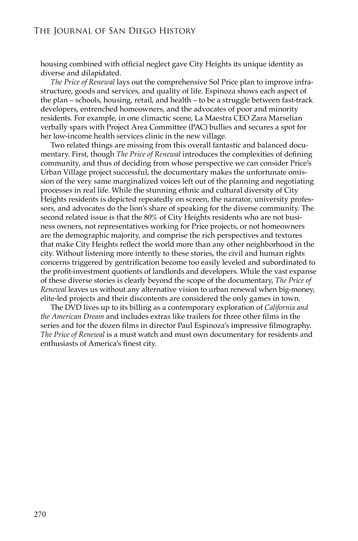housing combined with official neglect gave City Heights its unique identity as diverse and dilapidated.

*The Price of Renewal* lays out the comprehensive Sol Price plan to improve infrastructure, goods and services, and quality of life. Espinoza shows each aspect of the plan – schools, housing, retail, and health – to be a struggle between fast-track developers, entrenched homeowners, and the advocates of poor and minority residents. For example, in one climactic scene, La Maestra CEO Zara Marselian verbally spars with Project Area Committee (PAC) bullies and secures a spot for her low-income health services clinic in the new village.

Two related things are missing from this overall fantastic and balanced documentary. First, though *The Price of Renewal* introduces the complexities of defining community, and thus of deciding from whose perspective we can consider Price's Urban Village project successful, the documentary makes the unfortunate omission of the very same marginalized voices left out of the planning and negotiating processes in real life. While the stunning ethnic and cultural diversity of City Heights residents is depicted repeatedly on screen, the narrator, university professors, and advocates do the lion's share of speaking for the diverse community. The second related issue is that the 80% of City Heights residents who are not business owners, not representatives working for Price projects, or not homeowners are the demographic majority, and comprise the rich perspectives and textures that make City Heights reflect the world more than any other neighborhood in the city. Without listening more intently to these stories, the civil and human rights concerns triggered by gentrification become too easily leveled and subordinated to the profit-investment quotients of landlords and developers. While the vast expanse of these diverse stories is clearly beyond the scope of the documentary, *The Price of Renewal* leaves us without any alternative vision to urban renewal when big-money, elite-led projects and their discontents are considered the only games in town.

The DVD lives up to its billing as a contemporary exploration of *California and the American Dream* and includes extras like trailers for three other films in the series and for the dozen films in director Paul Espinoza's impressive filmography. *The Price of Renewal* is a must watch and must own documentary for residents and enthusiasts of America's finest city.